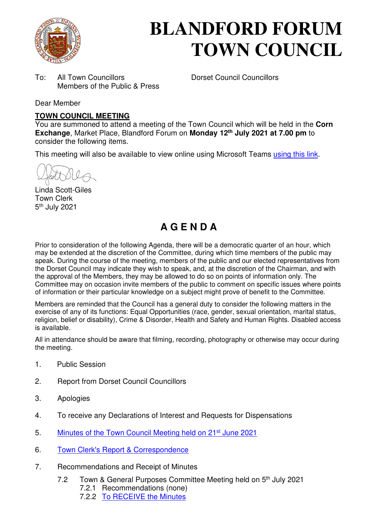

# **BLANDFORD FORUM TOWN COUNCIL**

To: All Town Councillors Dorset Council Councillors Members of the Public & Press

Dear Member

#### **TOWN COUNCIL MEETING**

You are summoned to attend a meeting of the Town Council which will be held in the **Corn Exchange**, Market Place, Blandford Forum on **Monday 12th July 2021 at 7.00 pm** to consider the following items.

This meeting will also be available to view online using Microsoft Teams [using this link.](https://teams.microsoft.com/l/meetup-join/19%3a2cb1b1f9de074efdad40308940ab9ba0%40thread.tacv2/1622549407649?context=%7b%22Tid%22%3a%223cd8f2fb-4c45-4162-86f1-fb87b5f6a138%22%2c%22Oid%22%3a%2265e5950c-ab1c-41cc-9090-4a755c733f54%22%7d)

Linda Scott-Giles Town Clerk 5<sup>th</sup> July 2021

## **A G E N D A**

Prior to consideration of the following Agenda, there will be a democratic quarter of an hour, which may be extended at the discretion of the Committee, during which time members of the public may speak. During the course of the meeting, members of the public and our elected representatives from the Dorset Council may indicate they wish to speak, and, at the discretion of the Chairman, and with the approval of the Members, they may be allowed to do so on points of information only. The Committee may on occasion invite members of the public to comment on specific issues where points of information or their particular knowledge on a subject might prove of benefit to the Committee.

Members are reminded that the Council has a general duty to consider the following matters in the exercise of any of its functions: Equal Opportunities (race, gender, sexual orientation, marital status, religion, belief or disability), Crime & Disorder, Health and Safety and Human Rights. Disabled access is available.

All in attendance should be aware that filming, recording, photography or otherwise may occur during the meeting.

- 1. Public Session
- 2. Report from Dorset Council Councillors
- 3. Apologies
- 4. To receive any Declarations of Interest and Requests for Dispensations
- 5. [Minutes of the Town Council Meeting held on 21](https://blandfordforum-tc.gov.uk/wp-content/uploads/2021/06/210621.pdf)<sup>st</sup> June 2021
- 6. [Town Clerk's Report & Correspondence](#page-2-0)
- 7. Recommendations and Receipt of Minutes
	- 7.2 Town & General Purposes Committee Meeting held on 5<sup>th</sup> July 2021
		- 7.2.1 Recommendations (none)
		- 7.2.2 [To RECEIVE the Minutes](https://blandfordforum-tc.gov.uk/town-council/meetingscommittees)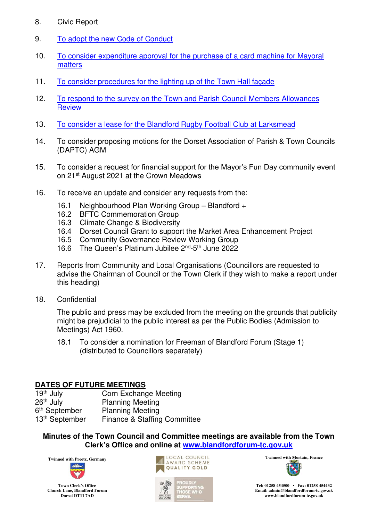- 8. Civic Report
- 9. [To adopt the new Code of Conduct](#page-3-0)
- 10. [To consider expenditure approval for the purchase of a card machine for Mayoral](#page-15-0)  [matters](#page-15-0)
- 11. [To consider procedures for the lighting up of the Town Hall façade](#page-16-0)
- 12. [To respond to the survey on the Town and Parish Council Members Allowances](#page-17-0)  **Review**
- 13. [To consider a lease for the Blandford Rugby Football Club at Larksmead](#page-18-0)
- 14. To consider proposing motions for the Dorset Association of Parish & Town Councils (DAPTC) AGM
- 15. To consider a request for financial support for the Mayor's Fun Day community event on 21st August 2021 at the Crown Meadows
- 16. To receive an update and consider any requests from the:
	- 16.1 Neighbourhood Plan Working Group Blandford +
	- 16.2 BFTC Commemoration Group
	- 16.3 Climate Change & Biodiversity
	- 16.4 Dorset Council Grant to support the Market Area Enhancement Project
	- 16.5 Community Governance Review Working Group
	- 16.6 The Queen's Platinum Jubilee 2nd-5th June 2022
- 17. Reports from Community and Local Organisations (Councillors are requested to advise the Chairman of Council or the Town Clerk if they wish to make a report under this heading)
- 18. Confidential

The public and press may be excluded from the meeting on the grounds that publicity might be prejudicial to the public interest as per the Public Bodies (Admission to Meetings) Act 1960.

18.1 To consider a nomination for Freeman of Blandford Forum (Stage 1) (distributed to Councillors separately)

## **DATES OF FUTURE MEETINGS**<br>19<sup>th</sup> July **Corn Exchang**

**Corn Exchange Meeting** 26<sup>th</sup> July Planning Meeting 6<sup>th</sup> September Planning Meeting 13<sup>th</sup> September Finance & Staffing Committee

**Minutes of the Town Council and Committee meetings are available from the Town Clerk's Office and online at [www.blandfordforum-tc.gov.uk](http://www.blandfordforum-tc.gov.uk/)**

ORTING<br>E WHO



**Town Clerk's Office Church Lane, Blandford Forum Dorset DT11 7AD**





**Tel: 01258 454500 • Fax: 01258 454432 Email: admin@blandfordforum-tc.gov.uk [www.blandfordforum-tc.gov.uk](http://www.blandfordforum-tc.gov.uk/)**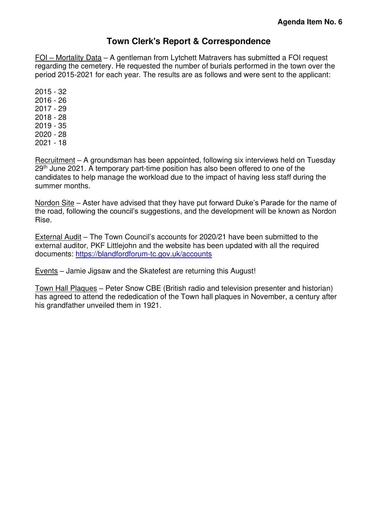## **Town Clerk's Report & Correspondence**

<span id="page-2-0"></span>FOI – Mortality Data – A gentleman from Lytchett Matravers has submitted a FOI request regarding the cemetery. He requested the number of burials performed in the town over the period 2015-2021 for each year. The results are as follows and were sent to the applicant:

Recruitment – A groundsman has been appointed, following six interviews held on Tuesday 29<sup>th</sup> June 2021. A temporary part-time position has also been offered to one of the candidates to help manage the workload due to the impact of having less staff during the summer months.

Nordon Site – Aster have advised that they have put forward Duke's Parade for the name of the road, following the council's suggestions, and the development will be known as Nordon Rise.

External Audit – The Town Council's accounts for 2020/21 have been submitted to the external auditor, PKF Littlejohn and the website has been updated with all the required documents:<https://blandfordforum-tc.gov.uk/accounts>

Events – Jamie Jigsaw and the Skatefest are returning this August!

Town Hall Plaques – Peter Snow CBE (British radio and television presenter and historian) has agreed to attend the rededication of the Town hall plaques in November, a century after his grandfather unveiled them in 1921.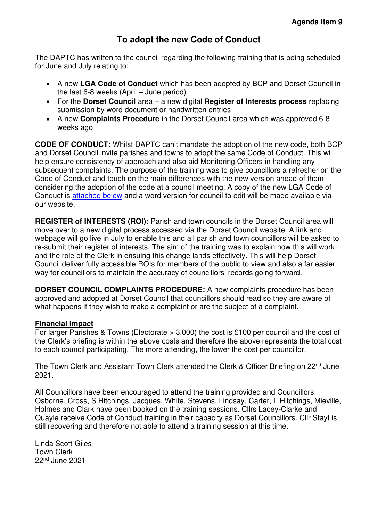## **To adopt the new Code of Conduct**

<span id="page-3-0"></span>The DAPTC has written to the council regarding the following training that is being scheduled for June and July relating to:

- A new **LGA Code of Conduct** which has been adopted by BCP and Dorset Council in the last 6-8 weeks (April – June period)
- For the **Dorset Council** area a new digital **Register of Interests process** replacing submission by word document or handwritten entries
- A new **Complaints Procedure** in the Dorset Council area which was approved 6-8 weeks ago

**CODE OF CONDUCT:** Whilst DAPTC can't mandate the adoption of the new code, both BCP and Dorset Council invite parishes and towns to adopt the same Code of Conduct. This will help ensure consistency of approach and also aid Monitoring Officers in handling any subsequent complaints. The purpose of the training was to give councillors a refresher on the Code of Conduct and touch on the main differences with the new version ahead of them considering the adoption of the code at a council meeting. A copy of the new LGA Code of Conduct is [attached below](#page-4-0) and a word version for council to edit will be made available via our website.

**REGISTER of INTERESTS (ROI):** Parish and town councils in the Dorset Council area will move over to a new digital process accessed via the Dorset Council website. A link and webpage will go live in July to enable this and all parish and town councillors will be asked to re-submit their register of interests. The aim of the training was to explain how this will work and the role of the Clerk in ensuing this change lands effectively. This will help Dorset Council deliver fully accessible ROIs for members of the public to view and also a far easier way for councillors to maintain the accuracy of councillors' records going forward.

**DORSET COUNCIL COMPLAINTS PROCEDURE:** A new complaints procedure has been approved and adopted at Dorset Council that councillors should read so they are aware of what happens if they wish to make a complaint or are the subject of a complaint.

#### **Financial Impact**

For larger Parishes & Towns (Electorate > 3,000) the cost is £100 per council and the cost of the Clerk's briefing is within the above costs and therefore the above represents the total cost to each council participating. The more attending, the lower the cost per councillor.

The Town Clerk and Assistant Town Clerk attended the Clerk & Officer Briefing on 22<sup>nd</sup> June 2021.

All Councillors have been encouraged to attend the training provided and Councillors Osborne, Cross, S Hitchings, Jacques, White, Stevens, Lindsay, Carter, L Hitchings, Mieville, Holmes and Clark have been booked on the training sessions. Cllrs Lacey-Clarke and Quayle receive Code of Conduct training in their capacity as Dorset Councillors. Cllr Stayt is still recovering and therefore not able to attend a training session at this time.

Linda Scott-Giles Town Clerk 22nd June 2021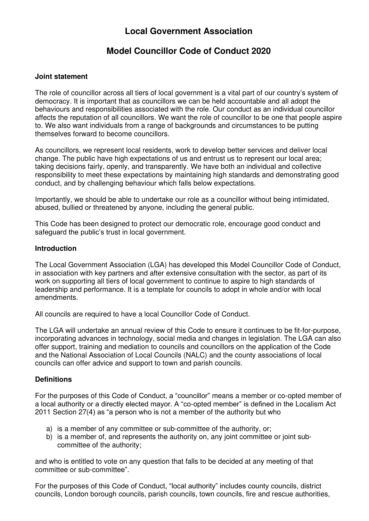## **Local Government Association**

## **Model Councillor Code of Conduct 2020**

#### <span id="page-4-0"></span>**Joint statement**

The role of councillor across all tiers of local government is a vital part of our country's system of democracy. It is important that as councillors we can be held accountable and all adopt the behaviours and responsibilities associated with the role. Our conduct as an individual councillor affects the reputation of all councillors. We want the role of councillor to be one that people aspire to. We also want individuals from a range of backgrounds and circumstances to be putting themselves forward to become councillors.

As councillors, we represent local residents, work to develop better services and deliver local change. The public have high expectations of us and entrust us to represent our local area; taking decisions fairly, openly, and transparently. We have both an individual and collective responsibility to meet these expectations by maintaining high standards and demonstrating good conduct, and by challenging behaviour which falls below expectations.

Importantly, we should be able to undertake our role as a councillor without being intimidated, abused, bullied or threatened by anyone, including the general public.

This Code has been designed to protect our democratic role, encourage good conduct and safeguard the public's trust in local government.

#### **Introduction**

The Local Government Association (LGA) has developed this Model Councillor Code of Conduct, in association with key partners and after extensive consultation with the sector, as part of its work on supporting all tiers of local government to continue to aspire to high standards of leadership and performance. It is a template for councils to adopt in whole and/or with local amendments.

All councils are required to have a local Councillor Code of Conduct.

The LGA will undertake an annual review of this Code to ensure it continues to be fit-for-purpose, incorporating advances in technology, social media and changes in legislation. The LGA can also offer support, training and mediation to councils and councillors on the application of the Code and the National Association of Local Councils (NALC) and the county associations of local councils can offer advice and support to town and parish councils.

#### **Definitions**

For the purposes of this Code of Conduct, a "councillor" means a member or co-opted member of a local authority or a directly elected mayor. A "co-opted member" is defined in the Localism Act 2011 Section 27(4) as "a person who is not a member of the authority but who

- a) is a member of any committee or sub-committee of the authority, or;
- b) is a member of, and represents the authority on, any joint committee or joint subcommittee of the authority;

and who is entitled to vote on any question that falls to be decided at any meeting of that committee or sub-committee".

For the purposes of this Code of Conduct, "local authority" includes county councils, district councils, London borough councils, parish councils, town councils, fire and rescue authorities,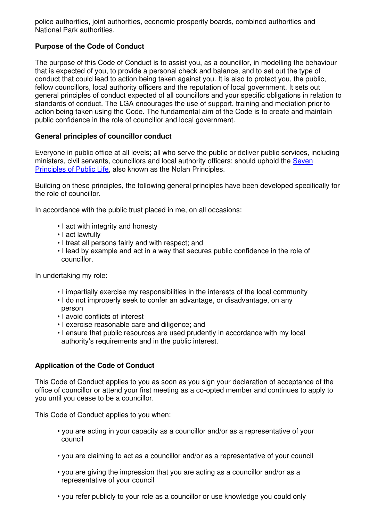police authorities, joint authorities, economic prosperity boards, combined authorities and National Park authorities.

#### **Purpose of the Code of Conduct**

The purpose of this Code of Conduct is to assist you, as a councillor, in modelling the behaviour that is expected of you, to provide a personal check and balance, and to set out the type of conduct that could lead to action being taken against you. It is also to protect you, the public, fellow councillors, local authority officers and the reputation of local government. It sets out general principles of conduct expected of all councillors and your specific obligations in relation to standards of conduct. The LGA encourages the use of support, training and mediation prior to action being taken using the Code. The fundamental aim of the Code is to create and maintain public confidence in the role of councillor and local government.

#### **General principles of councillor conduct**

Everyone in public office at all levels; all who serve the public or deliver public services, including ministers, civil servants, councillors and local authority officers; should uphold the [Seven](https://www.gov.uk/government/publications/the-7-principles-of-public-life/the-7-principles-of-public-life--2)  [Principles of Public Life,](https://www.gov.uk/government/publications/the-7-principles-of-public-life/the-7-principles-of-public-life--2) also known as the Nolan Principles.

Building on these principles, the following general principles have been developed specifically for the role of councillor.

In accordance with the public trust placed in me, on all occasions:

- I act with integrity and honesty
- I act lawfully
- I treat all persons fairly and with respect; and
- I lead by example and act in a way that secures public confidence in the role of councillor.

In undertaking my role:

- I impartially exercise my responsibilities in the interests of the local community
- I do not improperly seek to confer an advantage, or disadvantage, on any person
- I avoid conflicts of interest
- I exercise reasonable care and diligence; and
- I ensure that public resources are used prudently in accordance with my local authority's requirements and in the public interest.

#### **Application of the Code of Conduct**

This Code of Conduct applies to you as soon as you sign your declaration of acceptance of the office of councillor or attend your first meeting as a co-opted member and continues to apply to you until you cease to be a councillor.

This Code of Conduct applies to you when:

- you are acting in your capacity as a councillor and/or as a representative of your council
- you are claiming to act as a councillor and/or as a representative of your council
- you are giving the impression that you are acting as a councillor and/or as a representative of your council
- you refer publicly to your role as a councillor or use knowledge you could only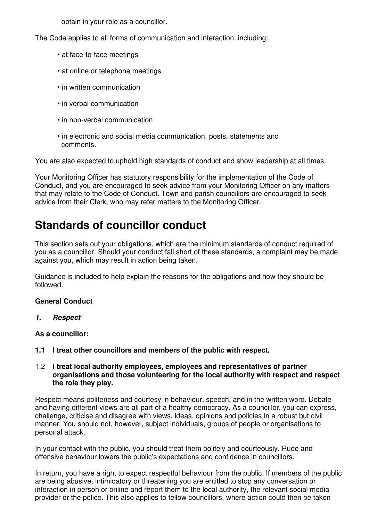obtain in your role as a councillor.

The Code applies to all forms of communication and interaction, including:

- at face-to-face meetings
- at online or telephone meetings
- in written communication
- in verbal communication
- in non-verbal communication
- in electronic and social media communication, posts, statements and comments.

You are also expected to uphold high standards of conduct and show leadership at all times.

Your Monitoring Officer has statutory responsibility for the implementation of the Code of Conduct, and you are encouraged to seek advice from your Monitoring Officer on any matters that may relate to the Code of Conduct. Town and parish councillors are encouraged to seek advice from their Clerk, who may refer matters to the Monitoring Officer.

## **Standards of councillor conduct**

This section sets out your obligations, which are the minimum standards of conduct required of you as a councillor. Should your conduct fall short of these standards, a complaint may be made against you, which may result in action being taken.

Guidance is included to help explain the reasons for the obligations and how they should be followed.

#### **General Conduct**

**1. Respect** 

#### **As a councillor:**

- **1.1 I treat other councillors and members of the public with respect.**
- 1.2 **I treat local authority employees, employees and representatives of partner organisations and those volunteering for the local authority with respect and respect the role they play.**

Respect means politeness and courtesy in behaviour, speech, and in the written word. Debate and having different views are all part of a healthy democracy. As a councillor, you can express, challenge, criticise and disagree with views, ideas, opinions and policies in a robust but civil manner. You should not, however, subject individuals, groups of people or organisations to personal attack.

In your contact with the public, you should treat them politely and courteously. Rude and offensive behaviour lowers the public's expectations and confidence in councillors.

In return, you have a right to expect respectful behaviour from the public. If members of the public are being abusive, intimidatory or threatening you are entitled to stop any conversation or interaction in person or online and report them to the local authority, the relevant social media provider or the police. This also applies to fellow councillors, where action could then be taken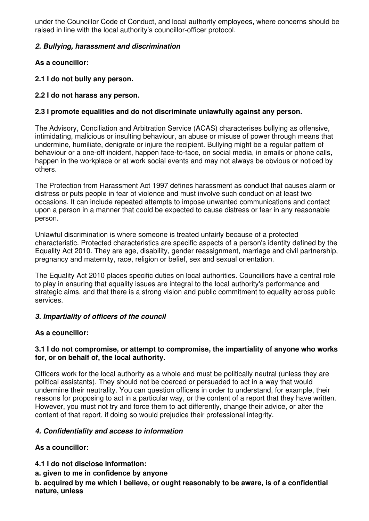under the Councillor Code of Conduct, and local authority employees, where concerns should be raised in line with the local authority's councillor-officer protocol.

#### **2. Bullying, harassment and discrimination**

**As a councillor:** 

**2.1 I do not bully any person.** 

#### **2.2 I do not harass any person.**

#### **2.3 I promote equalities and do not discriminate unlawfully against any person.**

The Advisory, Conciliation and Arbitration Service (ACAS) characterises bullying as offensive, intimidating, malicious or insulting behaviour, an abuse or misuse of power through means that undermine, humiliate, denigrate or injure the recipient. Bullying might be a regular pattern of behaviour or a one-off incident, happen face-to-face, on social media, in emails or phone calls, happen in the workplace or at work social events and may not always be obvious or noticed by others.

The Protection from Harassment Act 1997 defines harassment as conduct that causes alarm or distress or puts people in fear of violence and must involve such conduct on at least two occasions. It can include repeated attempts to impose unwanted communications and contact upon a person in a manner that could be expected to cause distress or fear in any reasonable person.

Unlawful discrimination is where someone is treated unfairly because of a protected characteristic. Protected characteristics are specific aspects of a person's identity defined by the Equality Act 2010. They are age, disability, gender reassignment, marriage and civil partnership, pregnancy and maternity, race, religion or belief, sex and sexual orientation.

The Equality Act 2010 places specific duties on local authorities. Councillors have a central role to play in ensuring that equality issues are integral to the local authority's performance and strategic aims, and that there is a strong vision and public commitment to equality across public services.

#### **3. Impartiality of officers of the council**

#### **As a councillor:**

#### **3.1 I do not compromise, or attempt to compromise, the impartiality of anyone who works for, or on behalf of, the local authority.**

Officers work for the local authority as a whole and must be politically neutral (unless they are political assistants). They should not be coerced or persuaded to act in a way that would undermine their neutrality. You can question officers in order to understand, for example, their reasons for proposing to act in a particular way, or the content of a report that they have written. However, you must not try and force them to act differently, change their advice, or alter the content of that report, if doing so would prejudice their professional integrity.

#### **4. Confidentiality and access to information**

**As a councillor:** 

- **4.1 I do not disclose information:**
- **a. given to me in confidence by anyone**

**b. acquired by me which I believe, or ought reasonably to be aware, is of a confidential nature, unless**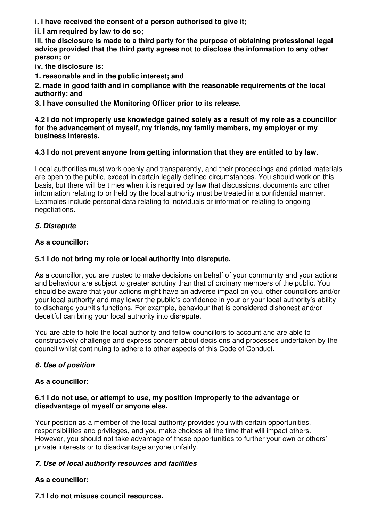**i. I have received the consent of a person authorised to give it;** 

**ii. I am required by law to do so;** 

**iii. the disclosure is made to a third party for the purpose of obtaining professional legal advice provided that the third party agrees not to disclose the information to any other person; or** 

**iv. the disclosure is:** 

**1. reasonable and in the public interest; and** 

**2. made in good faith and in compliance with the reasonable requirements of the local authority; and** 

**3. I have consulted the Monitoring Officer prior to its release.** 

**4.2 I do not improperly use knowledge gained solely as a result of my role as a councillor for the advancement of myself, my friends, my family members, my employer or my business interests.** 

#### **4.3 I do not prevent anyone from getting information that they are entitled to by law.**

Local authorities must work openly and transparently, and their proceedings and printed materials are open to the public, except in certain legally defined circumstances. You should work on this basis, but there will be times when it is required by law that discussions, documents and other information relating to or held by the local authority must be treated in a confidential manner. Examples include personal data relating to individuals or information relating to ongoing negotiations.

#### **5. Disrepute**

#### **As a councillor:**

#### **5.1 I do not bring my role or local authority into disrepute.**

As a councillor, you are trusted to make decisions on behalf of your community and your actions and behaviour are subject to greater scrutiny than that of ordinary members of the public. You should be aware that your actions might have an adverse impact on you, other councillors and/or your local authority and may lower the public's confidence in your or your local authority's ability to discharge your/it's functions. For example, behaviour that is considered dishonest and/or deceitful can bring your local authority into disrepute.

You are able to hold the local authority and fellow councillors to account and are able to constructively challenge and express concern about decisions and processes undertaken by the council whilst continuing to adhere to other aspects of this Code of Conduct.

#### **6. Use of position**

#### **As a councillor:**

#### **6.1 I do not use, or attempt to use, my position improperly to the advantage or disadvantage of myself or anyone else.**

Your position as a member of the local authority provides you with certain opportunities, responsibilities and privileges, and you make choices all the time that will impact others. However, you should not take advantage of these opportunities to further your own or others' private interests or to disadvantage anyone unfairly.

#### **7. Use of local authority resources and facilities**

#### **As a councillor:**

#### **7.1 I do not misuse council resources.**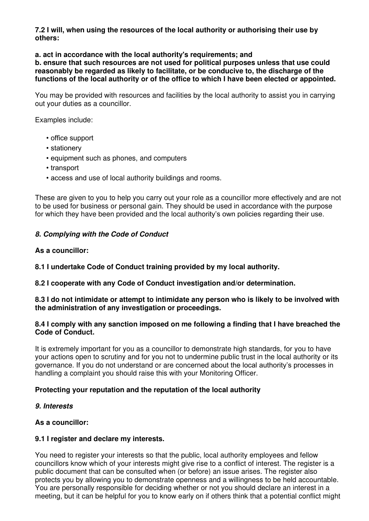**7.2 I will, when using the resources of the local authority or authorising their use by others:** 

**a. act in accordance with the local authority's requirements; and** 

**b. ensure that such resources are not used for political purposes unless that use could reasonably be regarded as likely to facilitate, or be conducive to, the discharge of the functions of the local authority or of the office to which I have been elected or appointed.** 

You may be provided with resources and facilities by the local authority to assist you in carrying out your duties as a councillor.

Examples include:

- office support
- stationery
- equipment such as phones, and computers
- transport
- access and use of local authority buildings and rooms.

These are given to you to help you carry out your role as a councillor more effectively and are not to be used for business or personal gain. They should be used in accordance with the purpose for which they have been provided and the local authority's own policies regarding their use.

#### **8. Complying with the Code of Conduct**

#### **As a councillor:**

**8.1 I undertake Code of Conduct training provided by my local authority.** 

**8.2 I cooperate with any Code of Conduct investigation and/or determination.** 

#### **8.3 I do not intimidate or attempt to intimidate any person who is likely to be involved with the administration of any investigation or proceedings.**

#### **8.4 I comply with any sanction imposed on me following a finding that I have breached the Code of Conduct.**

It is extremely important for you as a councillor to demonstrate high standards, for you to have your actions open to scrutiny and for you not to undermine public trust in the local authority or its governance. If you do not understand or are concerned about the local authority's processes in handling a complaint you should raise this with your Monitoring Officer.

#### **Protecting your reputation and the reputation of the local authority**

#### **9. Interests**

#### **As a councillor:**

#### **9.1 I register and declare my interests.**

You need to register your interests so that the public, local authority employees and fellow councillors know which of your interests might give rise to a conflict of interest. The register is a public document that can be consulted when (or before) an issue arises. The register also protects you by allowing you to demonstrate openness and a willingness to be held accountable. You are personally responsible for deciding whether or not you should declare an interest in a meeting, but it can be helpful for you to know early on if others think that a potential conflict might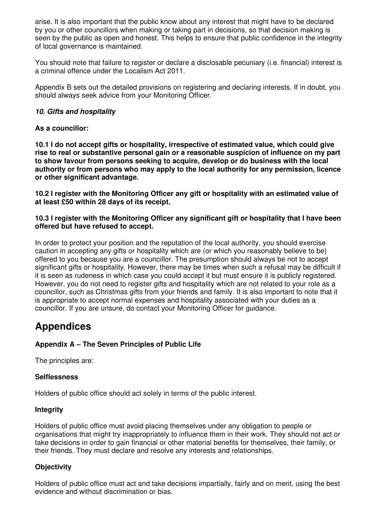arise. It is also important that the public know about any interest that might have to be declared by you or other councillors when making or taking part in decisions, so that decision making is seen by the public as open and honest. This helps to ensure that public confidence in the integrity of local governance is maintained.

You should note that failure to register or declare a disclosable pecuniary (i.e. financial) interest is a criminal offence under the Localism Act 2011.

Appendix B sets out the detailed provisions on registering and declaring interests. If in doubt, you should always seek advice from your Monitoring Officer.

#### **10. Gifts and hospitality**

#### **As a councillor:**

**10.1 I do not accept gifts or hospitality, irrespective of estimated value, which could give rise to real or substantive personal gain or a reasonable suspicion of influence on my part to show favour from persons seeking to acquire, develop or do business with the local authority or from persons who may apply to the local authority for any permission, licence or other significant advantage.** 

**10.2 I register with the Monitoring Officer any gift or hospitality with an estimated value of at least £50 within 28 days of its receipt.** 

#### **10.3 I register with the Monitoring Officer any significant gift or hospitality that I have been offered but have refused to accept.**

In order to protect your position and the reputation of the local authority, you should exercise caution in accepting any gifts or hospitality which are (or which you reasonably believe to be) offered to you because you are a councillor. The presumption should always be not to accept significant gifts or hospitality. However, there may be times when such a refusal may be difficult if it is seen as rudeness in which case you could accept it but must ensure it is publicly registered. However, you do not need to register gifts and hospitality which are not related to your role as a councillor, such as Christmas gifts from your friends and family. It is also important to note that it is appropriate to accept normal expenses and hospitality associated with your duties as a councillor. If you are unsure, do contact your Monitoring Officer for guidance.

## **Appendices**

#### **Appendix A – The Seven Principles of Public Life**

The principles are:

#### **Selflessness**

Holders of public office should act solely in terms of the public interest.

#### **Integrity**

Holders of public office must avoid placing themselves under any obligation to people or organisations that might try inappropriately to influence them in their work. They should not act or take decisions in order to gain financial or other material benefits for themselves, their family, or their friends. They must declare and resolve any interests and relationships.

#### **Objectivity**

Holders of public office must act and take decisions impartially, fairly and on merit, using the best evidence and without discrimination or bias.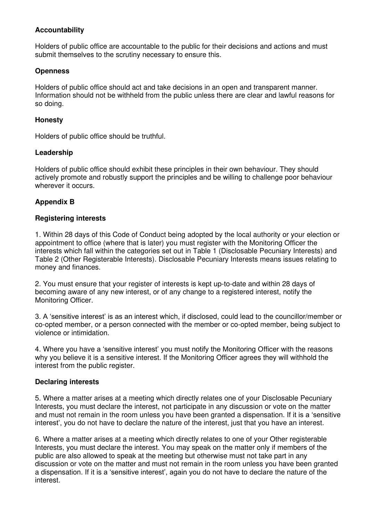#### **Accountability**

Holders of public office are accountable to the public for their decisions and actions and must submit themselves to the scrutiny necessary to ensure this.

#### **Openness**

Holders of public office should act and take decisions in an open and transparent manner. Information should not be withheld from the public unless there are clear and lawful reasons for so doing.

#### **Honesty**

Holders of public office should be truthful.

#### **Leadership**

Holders of public office should exhibit these principles in their own behaviour. They should actively promote and robustly support the principles and be willing to challenge poor behaviour wherever it occurs.

#### **Appendix B**

#### **Registering interests**

1. Within 28 days of this Code of Conduct being adopted by the local authority or your election or appointment to office (where that is later) you must register with the Monitoring Officer the interests which fall within the categories set out in Table 1 (Disclosable Pecuniary Interests) and Table 2 (Other Registerable Interests). Disclosable Pecuniary Interests means issues relating to money and finances.

2. You must ensure that your register of interests is kept up-to-date and within 28 days of becoming aware of any new interest, or of any change to a registered interest, notify the Monitoring Officer.

3. A 'sensitive interest' is as an interest which, if disclosed, could lead to the councillor/member or co-opted member, or a person connected with the member or co-opted member, being subject to violence or intimidation.

4. Where you have a 'sensitive interest' you must notify the Monitoring Officer with the reasons why you believe it is a sensitive interest. If the Monitoring Officer agrees they will withhold the interest from the public register.

#### **Declaring interests**

5. Where a matter arises at a meeting which directly relates one of your Disclosable Pecuniary Interests, you must declare the interest, not participate in any discussion or vote on the matter and must not remain in the room unless you have been granted a dispensation. If it is a 'sensitive interest', you do not have to declare the nature of the interest, just that you have an interest.

6. Where a matter arises at a meeting which directly relates to one of your Other registerable Interests, you must declare the interest. You may speak on the matter only if members of the public are also allowed to speak at the meeting but otherwise must not take part in any discussion or vote on the matter and must not remain in the room unless you have been granted a dispensation. If it is a 'sensitive interest', again you do not have to declare the nature of the interest.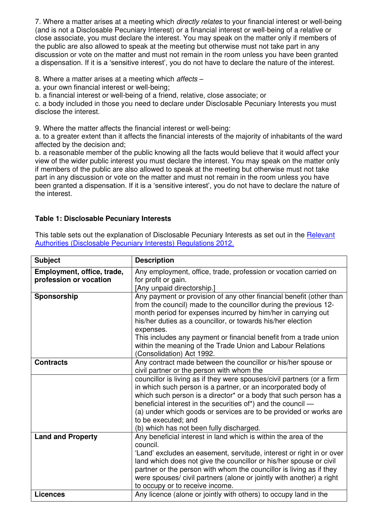7. Where a matter arises at a meeting which *directly relates* to your financial interest or well-being (and is not a Disclosable Pecuniary Interest) or a financial interest or well-being of a relative or close associate, you must declare the interest. You may speak on the matter only if members of the public are also allowed to speak at the meeting but otherwise must not take part in any discussion or vote on the matter and must not remain in the room unless you have been granted a dispensation. If it is a 'sensitive interest', you do not have to declare the nature of the interest.

8. Where a matter arises at a meeting which affects –

a. your own financial interest or well-being;

b. a financial interest or well-being of a friend, relative, close associate; or

c. a body included in those you need to declare under Disclosable Pecuniary Interests you must disclose the interest.

9. Where the matter affects the financial interest or well-being:

a. to a greater extent than it affects the financial interests of the majority of inhabitants of the ward affected by the decision and;

b. a reasonable member of the public knowing all the facts would believe that it would affect your view of the wider public interest you must declare the interest. You may speak on the matter only if members of the public are also allowed to speak at the meeting but otherwise must not take part in any discussion or vote on the matter and must not remain in the room unless you have been granted a dispensation. If it is a 'sensitive interest', you do not have to declare the nature of the interest.

#### **Table 1: Disclosable Pecuniary Interests**

This table sets out the explanation of Disclosable Pecuniary Interests as set out in the Relevant [Authorities \(Disclosable Pecuniary Interests\) Regulations 2012.](https://www.legislation.gov.uk/uksi/2012/1464/made)

| <b>Subject</b>                                       | <b>Description</b>                                                                                                                                                                                                                                                                                                                                                                                                                                   |
|------------------------------------------------------|------------------------------------------------------------------------------------------------------------------------------------------------------------------------------------------------------------------------------------------------------------------------------------------------------------------------------------------------------------------------------------------------------------------------------------------------------|
| Employment, office, trade,<br>profession or vocation | Any employment, office, trade, profession or vocation carried on<br>for profit or gain.<br>[Any unpaid directorship.]                                                                                                                                                                                                                                                                                                                                |
| Sponsorship                                          | Any payment or provision of any other financial benefit (other than<br>from the council) made to the councillor during the previous 12-<br>month period for expenses incurred by him/her in carrying out<br>his/her duties as a councillor, or towards his/her election<br>expenses.<br>This includes any payment or financial benefit from a trade union<br>within the meaning of the Trade Union and Labour Relations<br>(Consolidation) Act 1992. |
| <b>Contracts</b>                                     | Any contract made between the councillor or his/her spouse or<br>civil partner or the person with whom the                                                                                                                                                                                                                                                                                                                                           |
|                                                      | councillor is living as if they were spouses/civil partners (or a firm<br>in which such person is a partner, or an incorporated body of<br>which such person is a director* or a body that such person has a<br>beneficial interest in the securities of*) and the council —<br>(a) under which goods or services are to be provided or works are<br>to be executed; and<br>(b) which has not been fully discharged.                                 |
| <b>Land and Property</b>                             | Any beneficial interest in land which is within the area of the<br>council.<br>'Land' excludes an easement, servitude, interest or right in or over<br>land which does not give the councillor or his/her spouse or civil<br>partner or the person with whom the councillor is living as if they<br>were spouses/ civil partners (alone or jointly with another) a right<br>to occupy or to receive income.                                          |
| <b>Licences</b>                                      | Any licence (alone or jointly with others) to occupy land in the                                                                                                                                                                                                                                                                                                                                                                                     |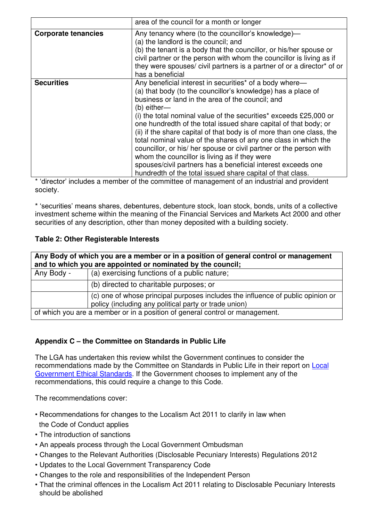|                            | area of the council for a month or longer                                                                                                                                                                                                                                                                                                                                                                                                                                                                                                                                                                                                                                                                                            |
|----------------------------|--------------------------------------------------------------------------------------------------------------------------------------------------------------------------------------------------------------------------------------------------------------------------------------------------------------------------------------------------------------------------------------------------------------------------------------------------------------------------------------------------------------------------------------------------------------------------------------------------------------------------------------------------------------------------------------------------------------------------------------|
| <b>Corporate tenancies</b> | Any tenancy where (to the councillor's knowledge)-<br>(a) the landlord is the council; and<br>(b) the tenant is a body that the councillor, or his/her spouse or<br>civil partner or the person with whom the councillor is living as if<br>they were spouses/ civil partners is a partner of or a director <sup>*</sup> of or<br>has a beneficial                                                                                                                                                                                                                                                                                                                                                                                   |
| <b>Securities</b>          | Any beneficial interest in securities* of a body where—<br>(a) that body (to the councillor's knowledge) has a place of<br>business or land in the area of the council; and<br>(b) either—<br>(i) the total nominal value of the securities* exceeds £25,000 or<br>one hundredth of the total issued share capital of that body; or<br>(ii) if the share capital of that body is of more than one class, the<br>total nominal value of the shares of any one class in which the<br>councillor, or his/ her spouse or civil partner or the person with<br>whom the councillor is living as if they were<br>spouses/civil partners has a beneficial interest exceeds one<br>hundredth of the total issued share capital of that class. |

\* 'director' includes a member of the committee of management of an industrial and provident society.

\* 'securities' means shares, debentures, debenture stock, loan stock, bonds, units of a collective investment scheme within the meaning of the Financial Services and Markets Act 2000 and other securities of any description, other than money deposited with a building society.

#### **Table 2: Other Registerable Interests**

| Any Body of which you are a member or in a position of general control or management |                                                                                                                                          |  |
|--------------------------------------------------------------------------------------|------------------------------------------------------------------------------------------------------------------------------------------|--|
| and to which you are appointed or nominated by the council;                          |                                                                                                                                          |  |
| Any Body -                                                                           | (a) exercising functions of a public nature;                                                                                             |  |
|                                                                                      | (b) directed to charitable purposes; or                                                                                                  |  |
|                                                                                      | (c) one of whose principal purposes includes the influence of public opinion or<br>policy (including any political party or trade union) |  |
| of which you are a member or in a position of general control or management.         |                                                                                                                                          |  |

#### **Appendix C – the Committee on Standards in Public Life**

The LGA has undertaken this review whilst the Government continues to consider the recommendations made by the Committee on Standards in Public Life in their report on [Local](https://www.gov.uk/government/publications/local-government-ethical-standards-report)  [Government Ethical Standards.](https://www.gov.uk/government/publications/local-government-ethical-standards-report) If the Government chooses to implement any of the recommendations, this could require a change to this Code.

The recommendations cover:

- Recommendations for changes to the Localism Act 2011 to clarify in law when the Code of Conduct applies
- The introduction of sanctions
- An appeals process through the Local Government Ombudsman
- Changes to the Relevant Authorities (Disclosable Pecuniary Interests) Regulations 2012
- Updates to the Local Government Transparency Code
- Changes to the role and responsibilities of the Independent Person
- That the criminal offences in the Localism Act 2011 relating to Disclosable Pecuniary Interests should be abolished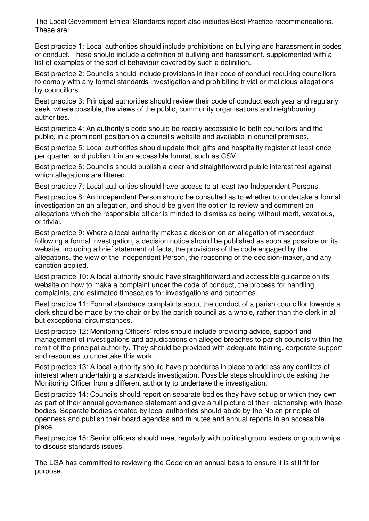The Local Government Ethical Standards report also includes Best Practice recommendations. These are:

Best practice 1: Local authorities should include prohibitions on bullying and harassment in codes of conduct. These should include a definition of bullying and harassment, supplemented with a list of examples of the sort of behaviour covered by such a definition.

Best practice 2: Councils should include provisions in their code of conduct requiring councillors to comply with any formal standards investigation and prohibiting trivial or malicious allegations by councillors.

Best practice 3: Principal authorities should review their code of conduct each year and regularly seek, where possible, the views of the public, community organisations and neighbouring authorities.

Best practice 4: An authority's code should be readily accessible to both councillors and the public, in a prominent position on a council's website and available in council premises.

Best practice 5: Local authorities should update their gifts and hospitality register at least once per quarter, and publish it in an accessible format, such as CSV.

Best practice 6: Councils should publish a clear and straightforward public interest test against which allegations are filtered.

Best practice 7: Local authorities should have access to at least two Independent Persons.

Best practice 8: An Independent Person should be consulted as to whether to undertake a formal investigation on an allegation, and should be given the option to review and comment on allegations which the responsible officer is minded to dismiss as being without merit, vexatious, or trivial.

Best practice 9: Where a local authority makes a decision on an allegation of misconduct following a formal investigation, a decision notice should be published as soon as possible on its website, including a brief statement of facts, the provisions of the code engaged by the allegations, the view of the Independent Person, the reasoning of the decision-maker, and any sanction applied.

Best practice 10: A local authority should have straightforward and accessible guidance on its website on how to make a complaint under the code of conduct, the process for handling complaints, and estimated timescales for investigations and outcomes.

Best practice 11: Formal standards complaints about the conduct of a parish councillor towards a clerk should be made by the chair or by the parish council as a whole, rather than the clerk in all but exceptional circumstances.

Best practice 12: Monitoring Officers' roles should include providing advice, support and management of investigations and adjudications on alleged breaches to parish councils within the remit of the principal authority. They should be provided with adequate training, corporate support and resources to undertake this work.

Best practice 13: A local authority should have procedures in place to address any conflicts of interest when undertaking a standards investigation. Possible steps should include asking the Monitoring Officer from a different authority to undertake the investigation.

Best practice 14: Councils should report on separate bodies they have set up or which they own as part of their annual governance statement and give a full picture of their relationship with those bodies. Separate bodies created by local authorities should abide by the Nolan principle of openness and publish their board agendas and minutes and annual reports in an accessible place.

Best practice 15: Senior officers should meet regularly with political group leaders or group whips to discuss standards issues.

The LGA has committed to reviewing the Code on an annual basis to ensure it is still fit for purpose.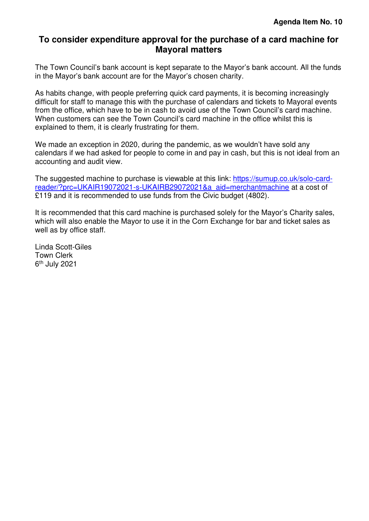#### <span id="page-15-0"></span>**To consider expenditure approval for the purchase of a card machine for Mayoral matters**

The Town Council's bank account is kept separate to the Mayor's bank account. All the funds in the Mayor's bank account are for the Mayor's chosen charity.

As habits change, with people preferring quick card payments, it is becoming increasingly difficult for staff to manage this with the purchase of calendars and tickets to Mayoral events from the office, which have to be in cash to avoid use of the Town Council's card machine. When customers can see the Town Council's card machine in the office whilst this is explained to them, it is clearly frustrating for them.

We made an exception in 2020, during the pandemic, as we wouldn't have sold any calendars if we had asked for people to come in and pay in cash, but this is not ideal from an accounting and audit view.

The suggested machine to purchase is viewable at this link: [https://sumup.co.uk/solo-card](https://sumup.co.uk/solo-card-reader/?prc=UKAIR19072021-s-UKAIRB29072021&a_aid=merchantmachine)[reader/?prc=UKAIR19072021-s-UKAIRB29072021&a\\_aid=merchantmachine](https://sumup.co.uk/solo-card-reader/?prc=UKAIR19072021-s-UKAIRB29072021&a_aid=merchantmachine) at a cost of £119 and it is recommended to use funds from the Civic budget (4802).

It is recommended that this card machine is purchased solely for the Mayor's Charity sales, which will also enable the Mayor to use it in the Corn Exchange for bar and ticket sales as well as by office staff.

Linda Scott-Giles Town Clerk 6<sup>th</sup> July 2021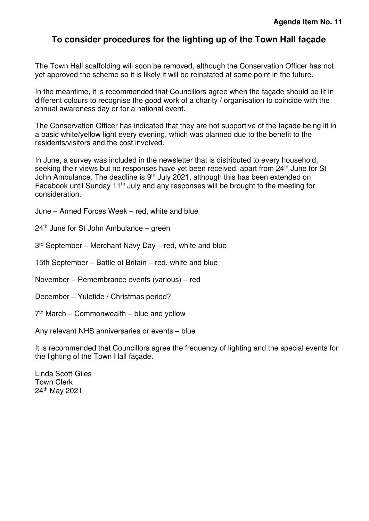## <span id="page-16-0"></span>**To consider procedures for the lighting up of the Town Hall façade**

The Town Hall scaffolding will soon be removed, although the Conservation Officer has not yet approved the scheme so it is likely it will be reinstated at some point in the future.

In the meantime, it is recommended that Councillors agree when the façade should be lit in different colours to recognise the good work of a charity / organisation to coincide with the annual awareness day or for a national event.

The Conservation Officer has indicated that they are not supportive of the façade being lit in a basic white/yellow light every evening, which was planned due to the benefit to the residents/visitors and the cost involved.

In June, a survey was included in the newsletter that is distributed to every household, seeking their views but no responses have yet been received, apart from 24<sup>th</sup> June for St John Ambulance. The deadline is 9<sup>th</sup> July 2021, although this has been extended on Facebook until Sunday 11th July and any responses will be brought to the meeting for consideration.

- June Armed Forces Week red, white and blue
- 24th June for St John Ambulance green
- 3<sup>rd</sup> September Merchant Navy Day red, white and blue
- 15th September Battle of Britain red, white and blue
- November Remembrance events (various) red
- December Yuletide / Christmas period?
- 7 th March Commonwealth blue and yellow

Any relevant NHS anniversaries or events – blue

It is recommended that Councillors agree the frequency of lighting and the special events for the lighting of the Town Hall façade.

Linda Scott-Giles Town Clerk 24th May 2021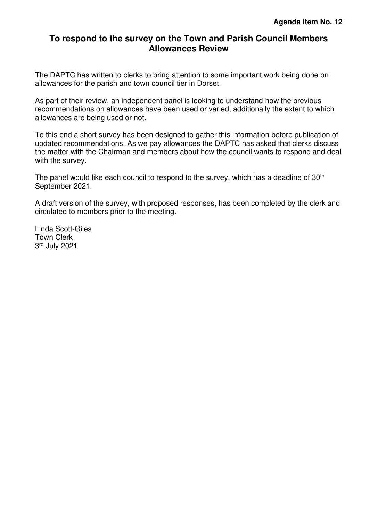#### <span id="page-17-0"></span>**To respond to the survey on the Town and Parish Council Members Allowances Review**

The DAPTC has written to clerks to bring attention to some important work being done on allowances for the parish and town council tier in Dorset.

As part of their review, an independent panel is looking to understand how the previous recommendations on allowances have been used or varied, additionally the extent to which allowances are being used or not.

To this end a short survey has been designed to gather this information before publication of updated recommendations. As we pay allowances the DAPTC has asked that clerks discuss the matter with the Chairman and members about how the council wants to respond and deal with the survey.

The panel would like each council to respond to the survey, which has a deadline of 30<sup>th</sup> September 2021.

A draft version of the survey, with proposed responses, has been completed by the clerk and circulated to members prior to the meeting.

Linda Scott-Giles Town Clerk 3 rd July 2021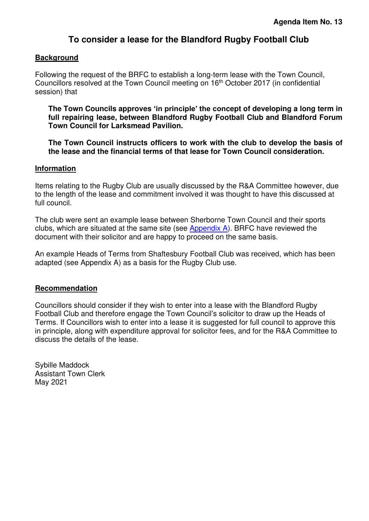### **To consider a lease for the Blandford Rugby Football Club**

#### <span id="page-18-0"></span>**Background**

Following the request of the BRFC to establish a long-term lease with the Town Council, Councillors resolved at the Town Council meeting on 16th October 2017 (in confidential session) that

**The Town Councils approves 'in principle' the concept of developing a long term in full repairing lease, between Blandford Rugby Football Club and Blandford Forum Town Council for Larksmead Pavilion.** 

**The Town Council instructs officers to work with the club to develop the basis of the lease and the financial terms of that lease for Town Council consideration.** 

#### **Information**

Items relating to the Rugby Club are usually discussed by the R&A Committee however, due to the length of the lease and commitment involved it was thought to have this discussed at full council.

The club were sent an example lease between Sherborne Town Council and their sports clubs, which are situated at the same site (see [Appendix A\)](#page-19-0). BRFC have reviewed the document with their solicitor and are happy to proceed on the same basis.

An example Heads of Terms from Shaftesbury Football Club was received, which has been adapted (see Appendix A) as a basis for the Rugby Club use.

#### **Recommendation**

Councillors should consider if they wish to enter into a lease with the Blandford Rugby Football Club and therefore engage the Town Council's solicitor to draw up the Heads of Terms. If Councillors wish to enter into a lease it is suggested for full council to approve this in principle, along with expenditure approval for solicitor fees, and for the R&A Committee to discuss the details of the lease.

Sybille Maddock Assistant Town Clerk May 2021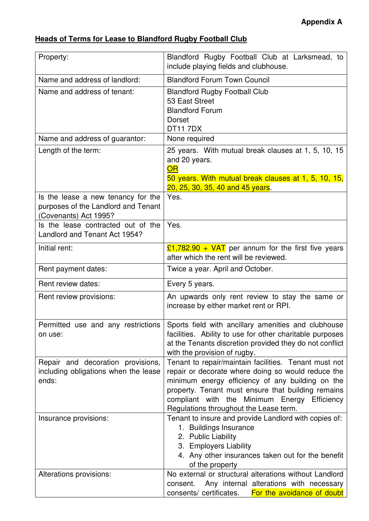## <span id="page-19-0"></span>**Heads of Terms for Lease to Blandford Rugby Football Club**

| Property:                                                                                          | Blandford Rugby Football Club at Larksmead, to<br>include playing fields and clubhouse.                                                                                                                                                                                                                         |
|----------------------------------------------------------------------------------------------------|-----------------------------------------------------------------------------------------------------------------------------------------------------------------------------------------------------------------------------------------------------------------------------------------------------------------|
| Name and address of landlord:                                                                      | <b>Blandford Forum Town Council</b>                                                                                                                                                                                                                                                                             |
| Name and address of tenant:                                                                        | <b>Blandford Rugby Football Club</b><br>53 East Street<br><b>Blandford Forum</b><br><b>Dorset</b><br><b>DT117DX</b>                                                                                                                                                                                             |
| Name and address of guarantor:                                                                     | None required                                                                                                                                                                                                                                                                                                   |
| Length of the term:                                                                                | 25 years. With mutual break clauses at 1, 5, 10, 15<br>and 20 years.<br><b>OR</b><br>50 years. With mutual break clauses at 1, 5, 10, 15,<br>20, 25, 30, 35, 40 and 45 years.                                                                                                                                   |
| Is the lease a new tenancy for the<br>purposes of the Landlord and Tenant<br>(Covenants) Act 1995? | Yes.                                                                                                                                                                                                                                                                                                            |
| Is the lease contracted out of the<br>Landlord and Tenant Act 1954?                                | Yes.                                                                                                                                                                                                                                                                                                            |
| Initial rent:                                                                                      | $£1,782.90 + VAT$ per annum for the first five years<br>after which the rent will be reviewed.                                                                                                                                                                                                                  |
| Rent payment dates:                                                                                | Twice a year. April and October.                                                                                                                                                                                                                                                                                |
| Rent review dates:                                                                                 | Every 5 years.                                                                                                                                                                                                                                                                                                  |
| Rent review provisions:                                                                            | An upwards only rent review to stay the same or<br>increase by either market rent or RPI.                                                                                                                                                                                                                       |
| Permitted use and any restrictions<br>on use:                                                      | Sports field with ancillary amenities and clubhouse<br>facilities. Ability to use for other charitable purposes<br>at the Tenants discretion provided they do not conflict<br>with the provision of rugby.                                                                                                      |
| Repair and decoration provisions,<br>including obligations when the lease<br>ends:                 | Tenant to repair/maintain facilities. Tenant must not<br>repair or decorate where doing so would reduce the<br>minimum energy efficiency of any building on the<br>property. Tenant must ensure that building remains<br>compliant with the Minimum Energy Efficiency<br>Regulations throughout the Lease term. |
| Insurance provisions:                                                                              | Tenant to insure and provide Landlord with copies of:<br>1. Buildings Insurance<br>2. Public Liability<br>3. Employers Liability<br>4. Any other insurances taken out for the benefit<br>of the property                                                                                                        |
| Alterations provisions:                                                                            | No external or structural alterations without Landlord<br>Any internal alterations with necessary<br>consent.<br>For the avoidance of doubt<br>consents/ certificates.                                                                                                                                          |